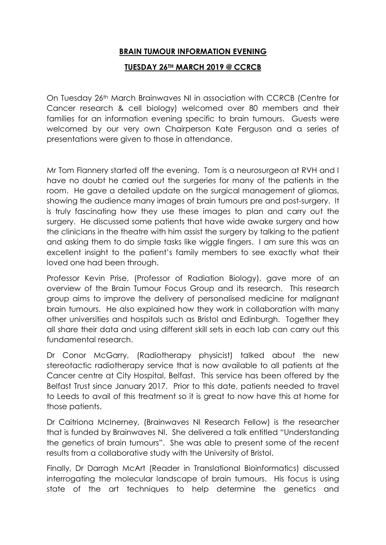## **BRAIN TUMOUR INFORMATION EVENING**

## **TUESDAY 26TH MARCH 2019 @ CCRCB**

On Tuesday 26th March Brainwaves NI in association with CCRCB (Centre for Cancer research & cell biology) welcomed over 80 members and their families for an information evening specific to brain tumours. Guests were welcomed by our very own Chairperson Kate Ferguson and a series of presentations were given to those in attendance.

Mr Tom Flannery started off the evening. Tom is a neurosurgeon at RVH and I have no doubt he carried out the surgeries for many of the patients in the room. He gave a detailed update on the surgical management of gliomas, showing the audience many images of brain tumours pre and post-surgery. It is truly fascinating how they use these images to plan and carry out the surgery. He discussed some patients that have wide awake surgery and how the clinicians in the theatre with him assist the surgery by talking to the patient and asking them to do simple tasks like wiggle fingers. I am sure this was an excellent insight to the patient's family members to see exactly what their loved one had been through.

Professor Kevin Prise, (Professor of Radiation Biology), gave more of an overview of the Brain Tumour Focus Group and its research. This research group aims to improve the delivery of personalised medicine for malignant brain tumours. He also explained how they work in collaboration with many other universities and hospitals such as Bristol and Edinburgh. Together they all share their data and using different skill sets in each lab can carry out this fundamental research.

Dr Conor McGarry, (Radiotherapy physicist) talked about the new stereotactic radiotherapy service that is now available to all patients at the Cancer centre at City Hospital, Belfast. This service has been offered by the Belfast Trust since January 2017. Prior to this date, patients needed to travel to Leeds to avail of this treatment so it is great to now have this at home for those patients.

Dr Caitriona McInerney, (Brainwaves NI Research Fellow) is the researcher that is funded by Brainwaves NI. She delivered a talk entitled "Understanding the genetics of brain tumours". She was able to present some of the recent results from a collaborative study with the University of Bristol.

Finally, Dr Darragh McArt (Reader in Translational Bioinformatics) discussed interrogating the molecular landscape of brain tumours. His focus is using state of the art techniques to help determine the genetics and